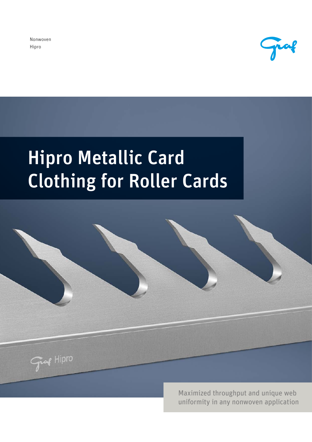Nonwoven Hipro



# Hipro Metallic Card Clothing for Roller Cards



Maximized throughput and unique web uniformity in any nonwoven application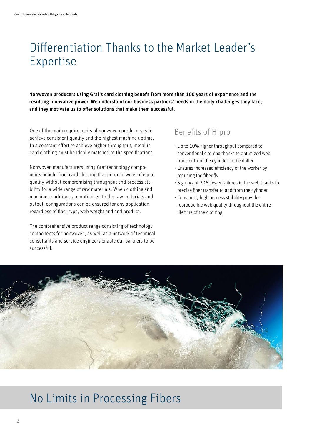## Differentiation Thanks to the Market Leader's Expertise

Nonwoven producers using Graf's card clothing benefit from more than 100 years of experience and the resulting innovative power. We understand our business partners' needs in the daily challenges they face, and they motivate us to offer solutions that make them successful.

One of the main requirements of nonwoven producers is to achieve consistent quality and the highest machine uptime. In a constant effort to achieve higher throughput, metallic card clothing must be ideally matched to the specifications.

Nonwoven manufacturers using Graf technology components benefit from card clothing that produce webs of equal quality without compromising throughput and process stability for a wide range of raw materials. When clothing and machine conditions are optimized to the raw materials and output, configurations can be ensured for any application regardless of fiber type, web weight and end product.

The comprehensive product range consisting of technology components for nonwoven, as well as a network of technical consultants and service engineers enable our partners to be successful.

#### Benefits of Hipro

- Up to 10% higher throughput compared to conventional clothing thanks to optimized web transfer from the cylinder to the doffer
- Ensures increased efficiency of the worker by reducing the fiber fly
- Significant 20% fewer failures in the web thanks to precise fiber transfer to and from the cylinder
- Constantly high process stability provides reproducible web quality throughout the entire lifetime of the clothing



### No Limits in Processing Fibers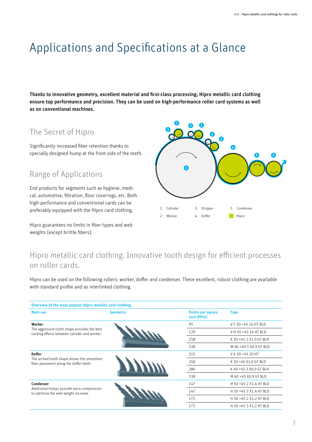# Applications and Specifications at a Glance

Thanks to innovative geometry, excellent material and first-class processing, Hipro metallic card clothing ensure top performance and precision. They can be used on high-performance roller card systems as well as on conventional machines.

### The Secret of Hipro

Significantly increased fiber retention thanks to specially designed hump at the front side of the teeth.

#### Range of Applications

End products for segments such as hygiene, medical, automotive, filtration, floor coverings, etc. Both high-performance and conventional cards can be preferably equipped with the Hipro card clothing.

Hipro guarantees no limits in fiber types and web weights (except brittle fibers).



#### Hipro metallic card clothing. Innovative tooth design for efficient processes on roller cards.

Hipro can be used on the following rollers: worker, doffer and condenser. These excellent, robust clothing are available with standard profile and as interlinked clothing.

| Overview of the most popular Hipro metallic card clothing                                               |                 |                                  |                        |
|---------------------------------------------------------------------------------------------------------|-----------------|----------------------------------|------------------------|
| <b>Main use</b>                                                                                         | <b>Geometry</b> | Points per square<br>inch (PPSI) | <b>Type</b>            |
| Worker<br>The aggressive tooth shape provides the best<br>carding effects between cylinder and worker.  |                 | 95                               | VF 50 +45 16 HT BLD    |
|                                                                                                         |                 | 129                              | V H 50 +45 16 HT BLD   |
|                                                                                                         |                 | 258                              | K 50 +45 1 X1,0 GT BLH |
|                                                                                                         |                 | 338                              | M 40 +40 5 X0,9 GT BLD |
| <b>Doffer</b><br>The arched tooth shape allows the smoothest<br>fiber placement along the doffer teeth. |                 | 215                              | V K 50 +45 20 HT       |
|                                                                                                         |                 | 258                              | K 50 +45 X1,0 GT BLD   |
|                                                                                                         |                 | 286                              | K 40 +45 3 X0,9 GT BLH |
|                                                                                                         |                 | 338                              | M 40 +45 X0,9 GT BLD   |
| Condenser<br>Additional humps provide extra compression<br>to optimize the web weight increase.         |                 | 147                              | H 50 +45 2 X1,4 HT BLD |
|                                                                                                         |                 | 147                              | H 50 +45 3 X1,4 HT BLD |
|                                                                                                         |                 | 172                              | H 50 +45 2 X1,2 HT BLD |
|                                                                                                         |                 | 172                              | H 50 +45 3 X1,2 HT BLD |